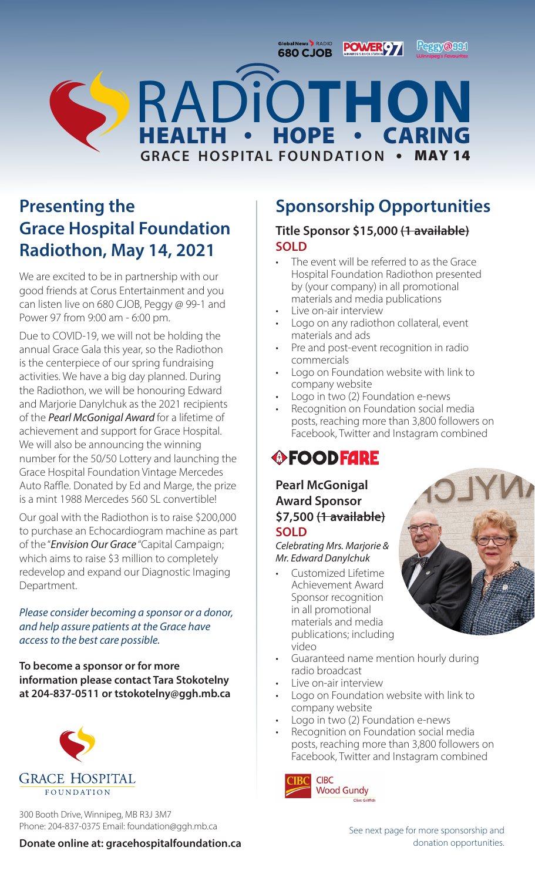GlobalNews RADIO **POWERO7** 

**Peggy@991** 



## **Presenting the Grace Hospital Foundation Radiothon, May 14, 2021**

We are excited to be in partnership with our good friends at Corus Entertainment and you can listen live on 680 CJOB, Peggy @ 99-1 and Power 97 from 9:00 am - 6:00 pm.

Due to COVID-19, we will not be holding the annual Grace Gala this year, so the Radiothon is the centerpiece of our spring fundraising activities. We have a big day planned. During the Radiothon, we will be honouring Edward and Marjorie Danylchuk as the 2021 recipients of the *Pearl McGonigal Award* for a lifetime of achievement and support for Grace Hospital. We will also be announcing the winning number for the 50/50 Lottery and launching the Grace Hospital Foundation Vintage Mercedes Auto Raffle. Donated by Ed and Marge, the prize is a mint 1988 Mercedes 560 SL convertible!

Our goal with the Radiothon is to raise \$200,000 to purchase an Echocardiogram machine as part of the "*Envision Our Grace* "Capital Campaign; which aims to raise \$3 million to completely redevelop and expand our Diagnostic Imaging Department.

*Please consider becoming a sponsor or a donor, and help assure patients at the Grace have access to the best care possible.*

**To become a sponsor or for more information please contact Tara Stokotelny at 204-837-0511 or tstokotelny@ggh.mb.ca**



300 Booth Drive, Winnipeg, MB R3J 3M7 Phone: 204-837-0375 Email: foundation@ggh.mb.ca

#### The event will be referred to as the Grace Hospital Foundation Radiothon presented by (your company) in all promotional

materials and media publications Live on-air interview

**SOLD**

Logo on any radiothon collateral, event materials and ads

**Sponsorship Opportunities**

**Title Sponsor \$15,000 (1 available)**

- Pre and post-event recognition in radio commercials
- Logo on Foundation website with link to company website
- Logo in two (2) Foundation e-news
- Recognition on Foundation social media posts, reaching more than 3,800 followers on Facebook, Twitter and Instagram combined

# **OFOODFARE**

### **Pearl McGonigal Award Sponsor \$7,500 (1 available) SOLD**

*Celebrating Mrs. Marjorie & Mr. Edward Danylchuk*

- Customized Lifetime Achievement Award Sponsor recognition in all promotional materials and media publications; including video
- 
- Guaranteed name mention hourly during radio broadcast
- Live on-air interview
- Logo on Foundation website with link to company website
- Logo in two (2) Foundation e-news
- Recognition on Foundation social media posts, reaching more than 3,800 followers on Facebook, Twitter and Instagram combined

**CIBC Wood Gundy** Clint Griffith

### **Donate online at: gracehospitalfoundation.ca**